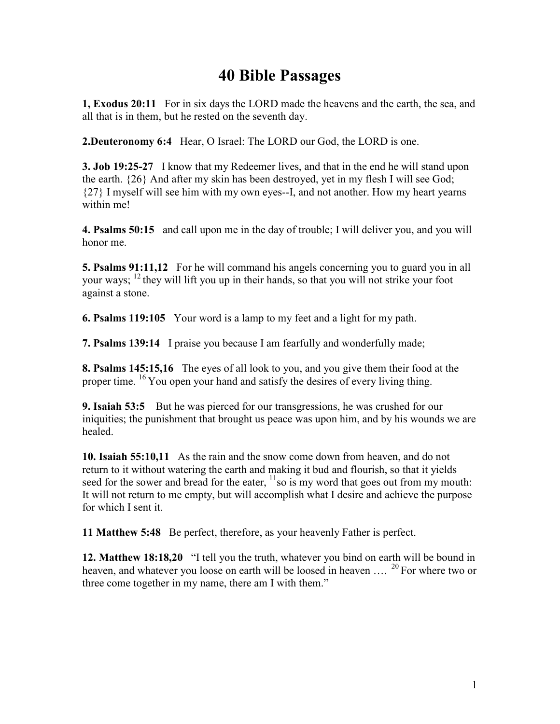## **40 Bible Passages**

**1, Exodus 20:11** For in six days the LORD made the heavens and the earth, the sea, and all that is in them, but he rested on the seventh day.

**2.Deuteronomy 6:4** Hear, O Israel: The LORD our God, the LORD is one.

**3. Job 19:25-27** I know that my Redeemer lives, and that in the end he will stand upon the earth. {26} And after my skin has been destroyed, yet in my flesh I will see God; {27} I myself will see him with my own eyes--I, and not another. How my heart yearns within me!

**4. Psalms 50:15** and call upon me in the day of trouble; I will deliver you, and you will honor me.

**5. Psalms 91:11,12** For he will command his angels concerning you to guard you in all your ways;  $^{12}$  they will lift you up in their hands, so that you will not strike your foot against a stone.

**6. Psalms 119:105** Your word is a lamp to my feet and a light for my path.

**7. Psalms 139:14** I praise you because I am fearfully and wonderfully made;

**8. Psalms 145:15,16** The eyes of all look to you, and you give them their food at the proper time. <sup>16</sup> You open your hand and satisfy the desires of every living thing.

**9. Isaiah 53:5** But he was pierced for our transgressions, he was crushed for our iniquities; the punishment that brought us peace was upon him, and by his wounds we are healed.

**10. Isaiah 55:10,11** As the rain and the snow come down from heaven, and do not return to it without watering the earth and making it bud and flourish, so that it yields seed for the sower and bread for the eater,  $\frac{11}{1}$ so is my word that goes out from my mouth: It will not return to me empty, but will accomplish what I desire and achieve the purpose for which I sent it.

**11 Matthew 5:48** Be perfect, therefore, as your heavenly Father is perfect.

**12. Matthew 18:18,20** "I tell you the truth, whatever you bind on earth will be bound in heaven, and whatever you loose on earth will be loosed in heaven  $\ldots$ . <sup>20</sup> For where two or three come together in my name, there am I with them."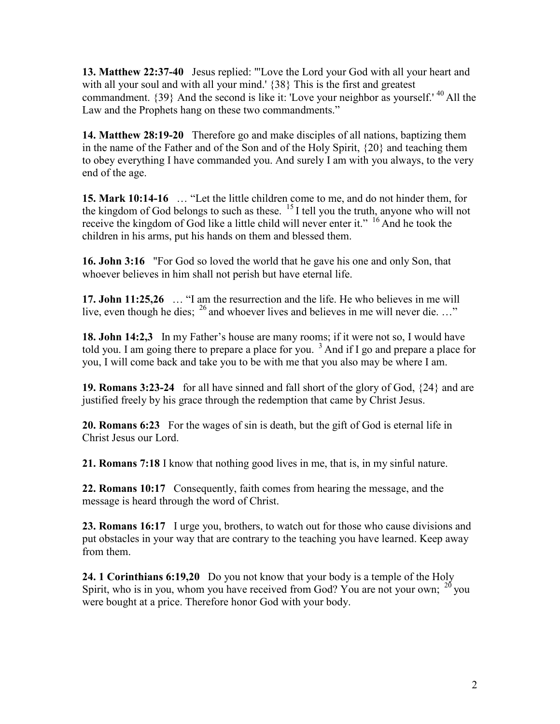**13. Matthew 22:37-40** Jesus replied: "'Love the Lord your God with all your heart and with all your soul and with all your mind.' {38} This is the first and greatest commandment.  $\{39\}$  And the second is like it: 'Love your neighbor as yourself.' <sup>40</sup> All the Law and the Prophets hang on these two commandments."

**14. Matthew 28:19-20** Therefore go and make disciples of all nations, baptizing them in the name of the Father and of the Son and of the Holy Spirit, {20} and teaching them to obey everything I have commanded you. And surely I am with you always, to the very end of the age.

**15. Mark 10:14-16** … "Let the little children come to me, and do not hinder them, for the kingdom of God belongs to such as these.  $^{15}$  I tell you the truth, anyone who will not receive the kingdom of God like a little child will never enter it."  $^{16}$  And he took the children in his arms, put his hands on them and blessed them.

**16. John 3:16** "For God so loved the world that he gave his one and only Son, that whoever believes in him shall not perish but have eternal life.

**17. John 11:25,26** … "I am the resurrection and the life. He who believes in me will live, even though he dies;  $^{26}$  and whoever lives and believes in me will never die. ..."

**18. John 14:2,3** In my Father's house are many rooms; if it were not so, I would have told you. I am going there to prepare a place for you.  $3$  And if I go and prepare a place for you, I will come back and take you to be with me that you also may be where I am.

**19. Romans 3:23-24** for all have sinned and fall short of the glory of God, {24} and are justified freely by his grace through the redemption that came by Christ Jesus.

**20. Romans 6:23** For the wages of sin is death, but the gift of God is eternal life in Christ Jesus our Lord.

**21. Romans 7:18** I know that nothing good lives in me, that is, in my sinful nature.

**22. Romans 10:17** Consequently, faith comes from hearing the message, and the message is heard through the word of Christ.

**23. Romans 16:17** I urge you, brothers, to watch out for those who cause divisions and put obstacles in your way that are contrary to the teaching you have learned. Keep away from them.

**24. 1 Corinthians 6:19,20** Do you not know that your body is a temple of the Holy Spirit, who is in you, whom you have received from God? You are not your own;  $^{20}$  you were bought at a price. Therefore honor God with your body.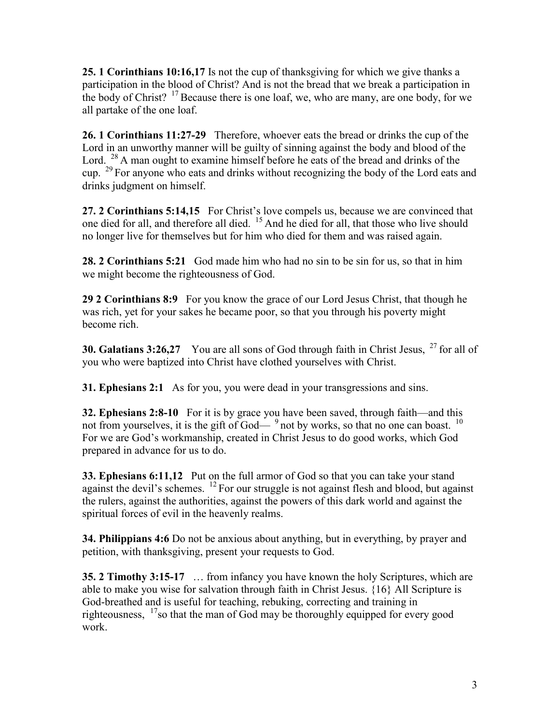**25. 1 Corinthians 10:16,17** Is not the cup of thanksgiving for which we give thanks a participation in the blood of Christ? And is not the bread that we break a participation in the body of Christ?  $17$  Because there is one loaf, we, who are many, are one body, for we all partake of the one loaf.

**26. 1 Corinthians 11:27-29** Therefore, whoever eats the bread or drinks the cup of the Lord in an unworthy manner will be guilty of sinning against the body and blood of the Lord.  $^{28}$  A man ought to examine himself before he eats of the bread and drinks of the cup.  $^{29}$  For anyone who eats and drinks without recognizing the body of the Lord eats and drinks judgment on himself.

**27. 2 Corinthians 5:14,15** For Christ's love compels us, because we are convinced that one died for all, and therefore all died. <sup>15</sup> And he died for all, that those who live should no longer live for themselves but for him who died for them and was raised again.

**28. 2 Corinthians 5:21** God made him who had no sin to be sin for us, so that in him we might become the righteousness of God.

**29 2 Corinthians 8:9** For you know the grace of our Lord Jesus Christ, that though he was rich, yet for your sakes he became poor, so that you through his poverty might become rich.

**30. Galatians 3:26,27** You are all sons of God through faith in Christ Jesus, <sup>27</sup> for all of you who were baptized into Christ have clothed yourselves with Christ.

**31. Ephesians 2:1** As for you, you were dead in your transgressions and sins.

**32. Ephesians 2:8-10** For it is by grace you have been saved, through faith—and this not from yourselves, it is the gift of God— $9$  not by works, so that no one can boast.  $10$ For we are God's workmanship, created in Christ Jesus to do good works, which God prepared in advance for us to do.

**33. Ephesians 6:11,12** Put on the full armor of God so that you can take your stand against the devil's schemes.  $^{12}$  For our struggle is not against flesh and blood, but against the rulers, against the authorities, against the powers of this dark world and against the spiritual forces of evil in the heavenly realms.

**34. Philippians 4:6** Do not be anxious about anything, but in everything, by prayer and petition, with thanksgiving, present your requests to God.

**35. 2 Timothy 3:15-17** … from infancy you have known the holy Scriptures, which are able to make you wise for salvation through faith in Christ Jesus. {16} All Scripture is God-breathed and is useful for teaching, rebuking, correcting and training in righteousness,  $17$  so that the man of God may be thoroughly equipped for every good work.